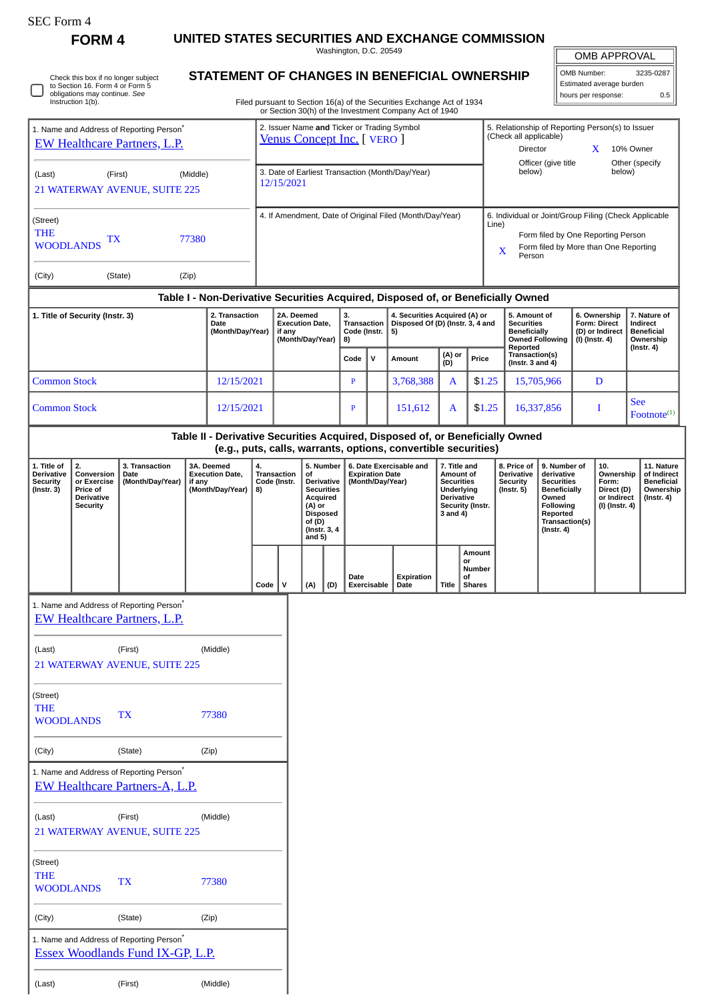0

Check this box if no longer subject to Section 16. Form 4 or Form 5 obligations may continue. *See* Instruction 1(b).

(Last) (First) (Middle)

**FORM 4 UNITED STATES SECURITIES AND EXCHANGE COMMISSION**

Washington, D.C. 20549

Filed pursuant to Section 16(a) of the Securities Exchange Act of 1934

|  | <b>STATEMENT OF CHANGES IN BENEFICIAL OWNERSHIP</b> |  |
|--|-----------------------------------------------------|--|

OMB APPROVAL

| OMB Number:              | 3235-0287 |
|--------------------------|-----------|
| Estimated average burden |           |
| hours per response:      | 0.5       |

|                                                                                             |                                                                              |                                                                                   |                                                                                  |                                                                |                                                          |                                                                                                                                       |                                        |                                                                                              |              |                                                                                                          | or Section 30(h) of the Investment Company Act of 1940                                                                                          |                                                                                                                                                              |                                                   |                                         |                                                                                                                                                                                                                                                                                                       |              |   |                                                                                 |            |                         |
|---------------------------------------------------------------------------------------------|------------------------------------------------------------------------------|-----------------------------------------------------------------------------------|----------------------------------------------------------------------------------|----------------------------------------------------------------|----------------------------------------------------------|---------------------------------------------------------------------------------------------------------------------------------------|----------------------------------------|----------------------------------------------------------------------------------------------|--------------|----------------------------------------------------------------------------------------------------------|-------------------------------------------------------------------------------------------------------------------------------------------------|--------------------------------------------------------------------------------------------------------------------------------------------------------------|---------------------------------------------------|-----------------------------------------|-------------------------------------------------------------------------------------------------------------------------------------------------------------------------------------------------------------------------------------------------------------------------------------------------------|--------------|---|---------------------------------------------------------------------------------|------------|-------------------------|
| 1. Name and Address of Reporting Person <sup>*</sup><br><b>EW Healthcare Partners, L.P.</b> |                                                                              |                                                                                   | 2. Issuer Name and Ticker or Trading Symbol<br><b>Venus Concept Inc.</b> [VERO ] |                                                                |                                                          |                                                                                                                                       |                                        |                                                                                              |              | 5. Relationship of Reporting Person(s) to Issuer<br>(Check all applicable)<br>Director<br>10% Owner<br>X |                                                                                                                                                 |                                                                                                                                                              |                                                   |                                         |                                                                                                                                                                                                                                                                                                       |              |   |                                                                                 |            |                         |
| (Middle)<br>(Last)<br>(First)<br>21 WATERWAY AVENUE, SUITE 225                              |                                                                              |                                                                                   |                                                                                  | 3. Date of Earliest Transaction (Month/Day/Year)<br>12/15/2021 |                                                          |                                                                                                                                       |                                        |                                                                                              |              |                                                                                                          | Officer (give title<br>Other (specify<br>below)<br>below)                                                                                       |                                                                                                                                                              |                                                   |                                         |                                                                                                                                                                                                                                                                                                       |              |   |                                                                                 |            |                         |
| (Street)<br><b>THE</b><br>77380<br>TХ<br><b>WOODLANDS</b>                                   |                                                                              |                                                                                   |                                                                                  |                                                                | 4. If Amendment, Date of Original Filed (Month/Day/Year) |                                                                                                                                       |                                        |                                                                                              |              |                                                                                                          |                                                                                                                                                 | 6. Individual or Joint/Group Filing (Check Applicable<br>Line)<br>Form filed by One Reporting Person<br>Form filed by More than One Reporting<br>X<br>Person |                                                   |                                         |                                                                                                                                                                                                                                                                                                       |              |   |                                                                                 |            |                         |
| (Zip)<br>(City)<br>(State)                                                                  |                                                                              |                                                                                   |                                                                                  |                                                                |                                                          |                                                                                                                                       |                                        |                                                                                              |              |                                                                                                          |                                                                                                                                                 |                                                                                                                                                              |                                                   |                                         |                                                                                                                                                                                                                                                                                                       |              |   |                                                                                 |            |                         |
|                                                                                             |                                                                              |                                                                                   |                                                                                  |                                                                |                                                          | Table I - Non-Derivative Securities Acquired, Disposed of, or Beneficially Owned<br>3.<br>4. Securities Acquired (A) or<br>2A. Deemed |                                        |                                                                                              |              |                                                                                                          | 5. Amount of                                                                                                                                    |                                                                                                                                                              |                                                   | 6. Ownership                            |                                                                                                                                                                                                                                                                                                       | 7. Nature of |   |                                                                                 |            |                         |
| 1. Title of Security (Instr. 3)<br>2. Transaction<br>Date<br>(Month/Day/Year)               |                                                                              |                                                                                   | <b>Execution Date,</b><br>if any<br>(Month/Day/Year)                             |                                                                | <b>Transaction</b><br>Code (Instr.<br>8)                 |                                                                                                                                       | Disposed Of (D) (Instr. 3, 4 and<br>5) |                                                                                              |              | <b>Securities</b><br><b>Beneficially</b><br><b>Owned Following</b><br>Reported                           |                                                                                                                                                 |                                                                                                                                                              | Form: Direct<br>(D) or Indirect<br>(I) (Instr. 4) |                                         | Indirect<br><b>Beneficial</b><br>Ownership<br>$($ Instr. 4 $)$                                                                                                                                                                                                                                        |              |   |                                                                                 |            |                         |
|                                                                                             |                                                                              |                                                                                   |                                                                                  |                                                                |                                                          |                                                                                                                                       |                                        |                                                                                              | Code         | v                                                                                                        | Amount                                                                                                                                          | (A) or<br>(D)                                                                                                                                                | Price                                             | Transaction(s)<br>(Instr. $3$ and $4$ ) |                                                                                                                                                                                                                                                                                                       |              |   |                                                                                 |            |                         |
| <b>Common Stock</b>                                                                         |                                                                              |                                                                                   |                                                                                  | 12/15/2021                                                     |                                                          |                                                                                                                                       |                                        |                                                                                              | $\mathbf{P}$ |                                                                                                          | 3,768,388                                                                                                                                       | A                                                                                                                                                            |                                                   | \$1.25                                  |                                                                                                                                                                                                                                                                                                       | 15,705,966   | D |                                                                                 | <b>See</b> |                         |
| <b>Common Stock</b>                                                                         |                                                                              |                                                                                   |                                                                                  | 12/15/2021                                                     |                                                          |                                                                                                                                       |                                        |                                                                                              | $\mathbf{P}$ |                                                                                                          | 151,612                                                                                                                                         |                                                                                                                                                              | \$1.25<br>A                                       |                                         | 16,337,856                                                                                                                                                                                                                                                                                            |              | I |                                                                                 |            | $\text{Footnote}^{(1)}$ |
|                                                                                             |                                                                              |                                                                                   |                                                                                  |                                                                |                                                          |                                                                                                                                       |                                        |                                                                                              |              |                                                                                                          | Table II - Derivative Securities Acquired, Disposed of, or Beneficially Owned<br>(e.g., puts, calls, warrants, options, convertible securities) |                                                                                                                                                              |                                                   |                                         |                                                                                                                                                                                                                                                                                                       |              |   |                                                                                 |            |                         |
| 1. Title of<br><b>Derivative</b><br><b>Security</b><br>$($ Instr. 3 $)$                     | 2.<br>Conversion<br>or Exercise<br>Price of<br>Derivative<br><b>Security</b> | 3. Transaction<br>Date<br>(Month/Day/Year)                                        | if any                                                                           | 3A. Deemed<br><b>Execution Date,</b><br>(Month/Day/Year)       | 4.<br>8)                                                 | <b>Transaction</b><br>Code (Instr.                                                                                                    | of<br>(A) or<br>of (D)<br>and 5)       | 5. Number<br>Derivative<br><b>Securities</b><br>Acquired<br><b>Disposed</b><br>(Instr. 3, 4) |              | <b>Expiration Date</b>                                                                                   | 6. Date Exercisable and<br>(Month/Day/Year)                                                                                                     | 7. Title and<br>Amount of<br><b>Securities</b><br>Underlying<br><b>Derivative</b><br>3 and 4)                                                                | Security (Instr.                                  |                                         | 8. Price of<br>9. Number of<br>10.<br><b>Derivative</b><br>derivative<br>Ownership<br><b>Security</b><br><b>Securities</b><br>Form:<br>$($ Instr. 5 $)$<br><b>Beneficially</b><br>Direct (D)<br>Owned<br>or Indirect<br>Following<br>(I) (Instr. 4)<br>Reported<br>Transaction(s)<br>$($ Instr. 4 $)$ |              |   | 11. Nature<br>of Indirect<br><b>Beneficial</b><br>Ownership<br>$($ lnstr. 4 $)$ |            |                         |
|                                                                                             |                                                                              |                                                                                   |                                                                                  |                                                                | Code                                                     | $\mathsf{v}$                                                                                                                          | (A)                                    | (D)                                                                                          | Date         | <b>Exercisable</b>                                                                                       | Expiration<br>Date                                                                                                                              | Title                                                                                                                                                        | Amount<br>or<br>Number<br>οf<br><b>Shares</b>     |                                         |                                                                                                                                                                                                                                                                                                       |              |   |                                                                                 |            |                         |
| 1. Name and Address of Reporting Person <sup>®</sup><br><b>EW Healthcare Partners, L.P.</b> |                                                                              |                                                                                   |                                                                                  |                                                                |                                                          |                                                                                                                                       |                                        |                                                                                              |              |                                                                                                          |                                                                                                                                                 |                                                                                                                                                              |                                                   |                                         |                                                                                                                                                                                                                                                                                                       |              |   |                                                                                 |            |                         |
| (First)<br>(Middle)<br>(Last)<br>21 WATERWAY AVENUE, SUITE 225                              |                                                                              |                                                                                   |                                                                                  |                                                                |                                                          |                                                                                                                                       |                                        |                                                                                              |              |                                                                                                          |                                                                                                                                                 |                                                                                                                                                              |                                                   |                                         |                                                                                                                                                                                                                                                                                                       |              |   |                                                                                 |            |                         |
| (Street)<br><b>THE</b><br><b>WOODLANDS</b>                                                  |                                                                              | <b>TX</b>                                                                         |                                                                                  | 77380                                                          |                                                          |                                                                                                                                       |                                        |                                                                                              |              |                                                                                                          |                                                                                                                                                 |                                                                                                                                                              |                                                   |                                         |                                                                                                                                                                                                                                                                                                       |              |   |                                                                                 |            |                         |
| (City)                                                                                      |                                                                              | (State)                                                                           |                                                                                  | (Zip)                                                          |                                                          |                                                                                                                                       |                                        |                                                                                              |              |                                                                                                          |                                                                                                                                                 |                                                                                                                                                              |                                                   |                                         |                                                                                                                                                                                                                                                                                                       |              |   |                                                                                 |            |                         |
|                                                                                             |                                                                              | 1. Name and Address of Reporting Person*<br><b>EW Healthcare Partners-A, L.P.</b> |                                                                                  |                                                                |                                                          |                                                                                                                                       |                                        |                                                                                              |              |                                                                                                          |                                                                                                                                                 |                                                                                                                                                              |                                                   |                                         |                                                                                                                                                                                                                                                                                                       |              |   |                                                                                 |            |                         |
| (Last)                                                                                      |                                                                              | (First)<br>21 WATERWAY AVENUE, SUITE 225                                          |                                                                                  | (Middle)                                                       |                                                          |                                                                                                                                       |                                        |                                                                                              |              |                                                                                                          |                                                                                                                                                 |                                                                                                                                                              |                                                   |                                         |                                                                                                                                                                                                                                                                                                       |              |   |                                                                                 |            |                         |
| (Street)<br><b>THE</b><br><b>WOODLANDS</b>                                                  |                                                                              | <b>TX</b>                                                                         |                                                                                  | 77380                                                          |                                                          |                                                                                                                                       |                                        |                                                                                              |              |                                                                                                          |                                                                                                                                                 |                                                                                                                                                              |                                                   |                                         |                                                                                                                                                                                                                                                                                                       |              |   |                                                                                 |            |                         |
| (City)                                                                                      |                                                                              | (State)                                                                           |                                                                                  | (Zip)                                                          |                                                          |                                                                                                                                       |                                        |                                                                                              |              |                                                                                                          |                                                                                                                                                 |                                                                                                                                                              |                                                   |                                         |                                                                                                                                                                                                                                                                                                       |              |   |                                                                                 |            |                         |
| 1. Name and Address of Reporting Person*<br><b>Essex Woodlands Fund IX-GP, L.P.</b>         |                                                                              |                                                                                   |                                                                                  |                                                                |                                                          |                                                                                                                                       |                                        |                                                                                              |              |                                                                                                          |                                                                                                                                                 |                                                                                                                                                              |                                                   |                                         |                                                                                                                                                                                                                                                                                                       |              |   |                                                                                 |            |                         |